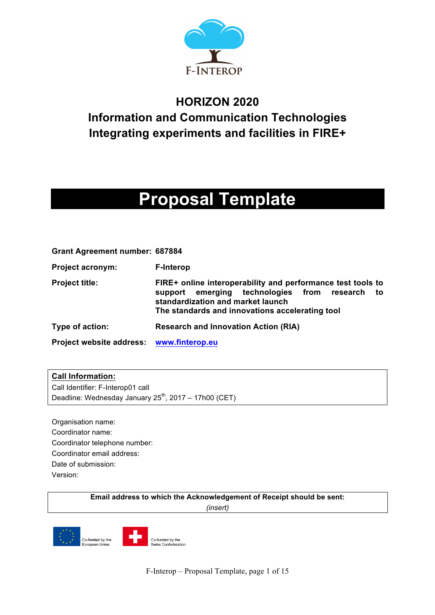

## **HORIZON 2020 Information and Communication Technologies Integrating experiments and facilities in FIRE+**

# **Proposal Template**

| Grant Agreement number: 687884 |                                                                                                                                                    |
|--------------------------------|----------------------------------------------------------------------------------------------------------------------------------------------------|
| Project acronym:               | <b>F-Interop</b>                                                                                                                                   |
| <b>Project title:</b>          | FIRE+ online interoperability and performance test tools to<br>support emerging technologies from research to<br>standardization and market launch |

|                                          | The standards and innovations accelerating tool |
|------------------------------------------|-------------------------------------------------|
| Type of action:                          | <b>Research and Innovation Action (RIA)</b>     |
| Project website address: www.finterop.eu |                                                 |

**Call Information:** Call Identifier: F-Interop01 call Deadline: Wednesday January  $25^{th}$ ,  $2017 - 17h00$  (CET)

Organisation name: Coordinator name: Coordinator telephone number: Coordinator email address: Date of submission: Version:

**Email address to which the Acknowledgement of Receipt should be sent:**

*(insert)*

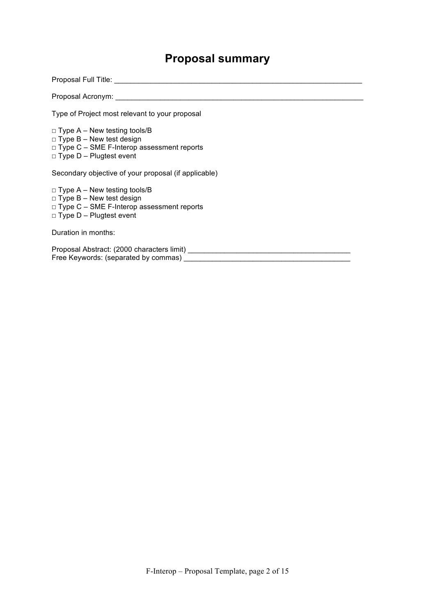## **Proposal summary**

Proposal Acronym: \_\_\_\_\_\_\_\_\_\_\_\_\_\_\_\_\_\_\_\_\_\_\_\_\_\_\_\_\_\_\_\_\_\_\_\_\_\_\_\_\_\_\_\_\_\_\_\_\_\_\_\_\_\_\_\_\_\_\_\_\_

Type of Project most relevant to your proposal

Proposal Full Title: **Example 20** For the set of the set of the set of the set of the set of the set of the set of the set of the set of the set of the set of the set of the set of the set of the set of the set of the set

- $\Box$  Type A New testing tools/B
- □ Type B New test design
- ☐ Type C SME F-Interop assessment reports
- $\Box$  Type D Plugtest event

Secondary objective of your proposal (if applicable)

 $\Box$  Type A – New testing tools/B  $\Box$  Type B – New test design ☐ Type C – SME F-Interop assessment reports □ Type D – Plugtest event

Duration in months:

Proposal Abstract: (2000 characters limit) \_\_\_\_\_\_\_\_\_\_\_\_\_\_\_\_\_\_\_\_\_\_\_\_\_\_\_\_\_\_\_\_\_\_\_\_\_\_\_\_ Free Keywords: (separated by commas) \_\_\_\_\_\_\_\_\_\_\_\_\_\_\_\_\_\_\_\_\_\_\_\_\_\_\_\_\_\_\_\_\_\_\_\_\_\_\_\_\_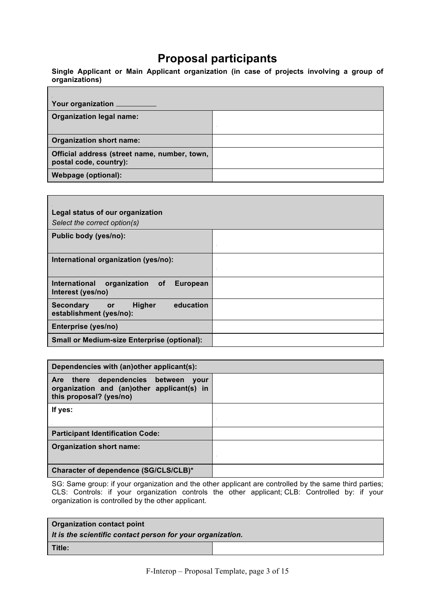## **Proposal participants**

**Single Applicant or Main Applicant organization (in case of projects involving a group of organizations)** 

Т

٦

| Your organization                                                      |  |
|------------------------------------------------------------------------|--|
| <b>Organization legal name:</b>                                        |  |
|                                                                        |  |
| <b>Organization short name:</b>                                        |  |
| Official address (street name, number, town,<br>postal code, country): |  |
| Webpage (optional):                                                    |  |

| Legal status of our organization<br>Select the correct option(s)                       |  |
|----------------------------------------------------------------------------------------|--|
| Public body (yes/no):                                                                  |  |
| International organization (yes/no):                                                   |  |
| International<br>organization<br>of<br><b>European</b><br>Interest (yes/no)            |  |
| education<br><b>Higher</b><br><b>Secondary</b><br><b>or</b><br>establishment (yes/no): |  |
| Enterprise (yes/no)                                                                    |  |
| <b>Small or Medium-size Enterprise (optional):</b>                                     |  |

| Dependencies with (an)other applicant(s):                                                                                              |  |  |  |  |
|----------------------------------------------------------------------------------------------------------------------------------------|--|--|--|--|
| dependencies<br>there<br>between<br><b>Are</b><br><b>vour</b><br>organization and (an)other applicant(s) in<br>this proposal? (yes/no) |  |  |  |  |
| If yes:                                                                                                                                |  |  |  |  |
|                                                                                                                                        |  |  |  |  |
| <b>Participant Identification Code:</b>                                                                                                |  |  |  |  |
| <b>Organization short name:</b>                                                                                                        |  |  |  |  |
|                                                                                                                                        |  |  |  |  |
| Character of dependence (SG/CLS/CLB)*                                                                                                  |  |  |  |  |

SG: Same group: if your organization and the other applicant are controlled by the same third parties; CLS: Controls: if your organization controls the other applicant; CLB: Controlled by: if your organization is controlled by the other applicant.

| Organization contact point                                 |  |
|------------------------------------------------------------|--|
| It is the scientific contact person for your organization. |  |
| Title:                                                     |  |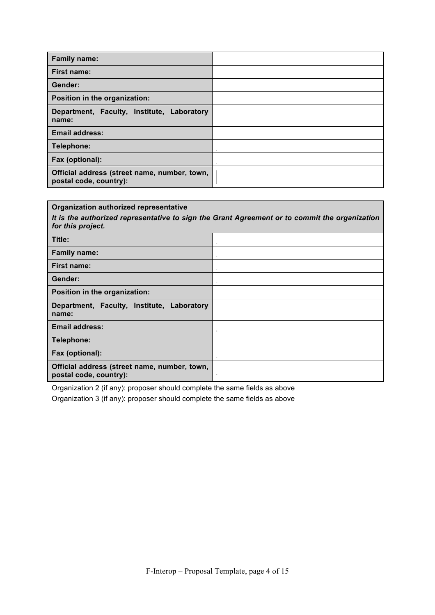| <b>Family name:</b>                                                    |  |
|------------------------------------------------------------------------|--|
| First name:                                                            |  |
| Gender:                                                                |  |
| Position in the organization:                                          |  |
| Department, Faculty, Institute, Laboratory<br>name:                    |  |
| <b>Email address:</b>                                                  |  |
| Telephone:                                                             |  |
| Fax (optional):                                                        |  |
| Official address (street name, number, town,<br>postal code, country): |  |

## **Organization authorized representative**  *It is the authorized representative to sign the Grant Agreement or to commit the organization for this project.*  **Title: Family name: First name: Gender: Position in the organization: Department, Faculty, Institute, Laboratory name: Email address: Telephone: Fax (optional): Official address (street name, number, town, postal code, country):**

Organization 2 (if any): proposer should complete the same fields as above Organization 3 (if any): proposer should complete the same fields as above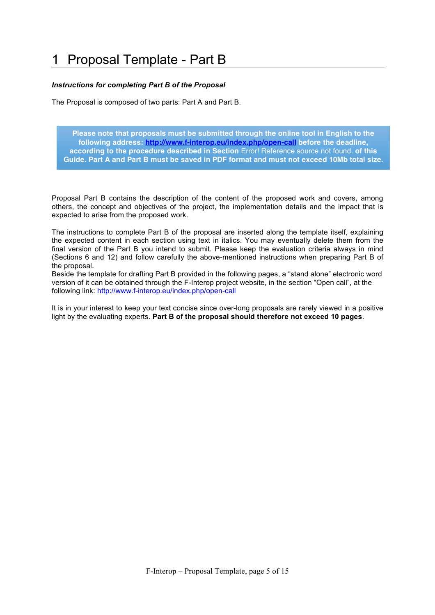# 1 Proposal Template - Part B

#### *Instructions for completing Part B of the Proposal*

The Proposal is composed of two parts: Part A and Part B.

**Please note that proposals must be submitted through the online tool in English to the following address: http://www.f-interop.eu/index.php/open-call before the deadline, according to the procedure described in Section** Error! Reference source not found. **of this Guide. Part A and Part B must be saved in PDF format and must not exceed 10Mb total size.**

Proposal Part B contains the description of the content of the proposed work and covers, among others, the concept and objectives of the project, the implementation details and the impact that is expected to arise from the proposed work.

The instructions to complete Part B of the proposal are inserted along the template itself, explaining the expected content in each section using text in italics. You may eventually delete them from the final version of the Part B you intend to submit. Please keep the evaluation criteria always in mind (Sections 6 and 12) and follow carefully the above-mentioned instructions when preparing Part B of the proposal.

Beside the template for drafting Part B provided in the following pages, a "stand alone" electronic word version of it can be obtained through the F-Interop project website, in the section "Open call", at the following link: http://www.f-interop.eu/index.php/open-call

It is in your interest to keep your text concise since over-long proposals are rarely viewed in a positive light by the evaluating experts. **Part B of the proposal should therefore not exceed 10 pages**.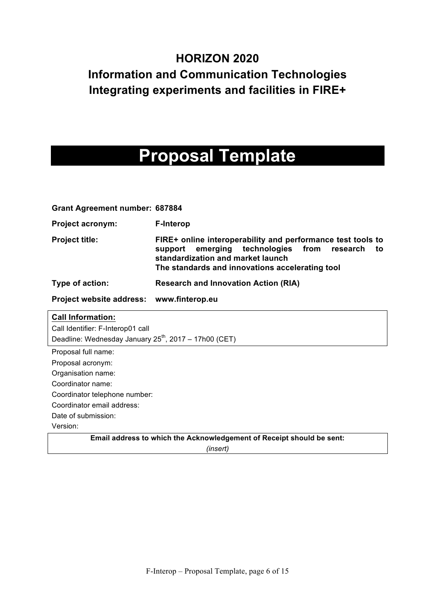## **HORIZON 2020 Information and Communication Technologies Integrating experiments and facilities in FIRE+**

# **Proposal Template**

| <b>Grant Agreement number: 687884</b>                             |                                                                                                                                                                                                                   |  |  |  |  |  |  |
|-------------------------------------------------------------------|-------------------------------------------------------------------------------------------------------------------------------------------------------------------------------------------------------------------|--|--|--|--|--|--|
| <b>Project acronym:</b>                                           | <b>F-Interop</b>                                                                                                                                                                                                  |  |  |  |  |  |  |
| <b>Project title:</b>                                             | FIRE+ online interoperability and performance test tools to<br>emerging technologies<br>support<br>from<br>research<br>to<br>standardization and market launch<br>The standards and innovations accelerating tool |  |  |  |  |  |  |
| Type of action:                                                   | <b>Research and Innovation Action (RIA)</b>                                                                                                                                                                       |  |  |  |  |  |  |
| Project website address: www.finterop.eu                          |                                                                                                                                                                                                                   |  |  |  |  |  |  |
| <b>Call Information:</b>                                          |                                                                                                                                                                                                                   |  |  |  |  |  |  |
| Call Identifier: F-Interop01 call                                 |                                                                                                                                                                                                                   |  |  |  |  |  |  |
| Deadline: Wednesday January 25 <sup>th</sup> , 2017 - 17h00 (CET) |                                                                                                                                                                                                                   |  |  |  |  |  |  |
| Proposal full name:                                               |                                                                                                                                                                                                                   |  |  |  |  |  |  |
| Proposal acronym:                                                 |                                                                                                                                                                                                                   |  |  |  |  |  |  |
| Organisation name:                                                |                                                                                                                                                                                                                   |  |  |  |  |  |  |
| Coordinator name:                                                 |                                                                                                                                                                                                                   |  |  |  |  |  |  |
| Coordinator telephone number:                                     |                                                                                                                                                                                                                   |  |  |  |  |  |  |
| Coordinator email address:                                        |                                                                                                                                                                                                                   |  |  |  |  |  |  |
| Date of submission:                                               |                                                                                                                                                                                                                   |  |  |  |  |  |  |
| Version:                                                          |                                                                                                                                                                                                                   |  |  |  |  |  |  |
|                                                                   | Email address to which the Acknowledgement of Receipt should be sent:                                                                                                                                             |  |  |  |  |  |  |
| (insert)                                                          |                                                                                                                                                                                                                   |  |  |  |  |  |  |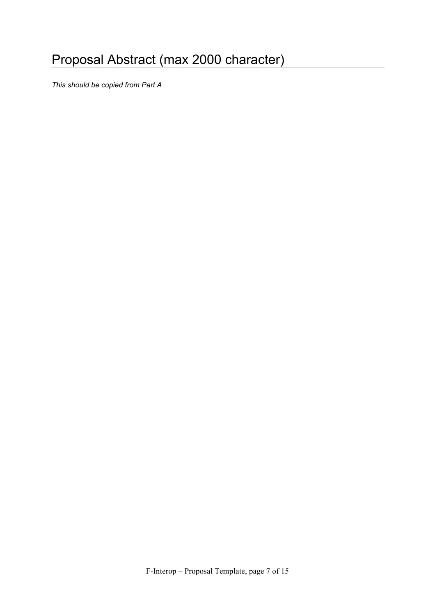*This should be copied from Part A*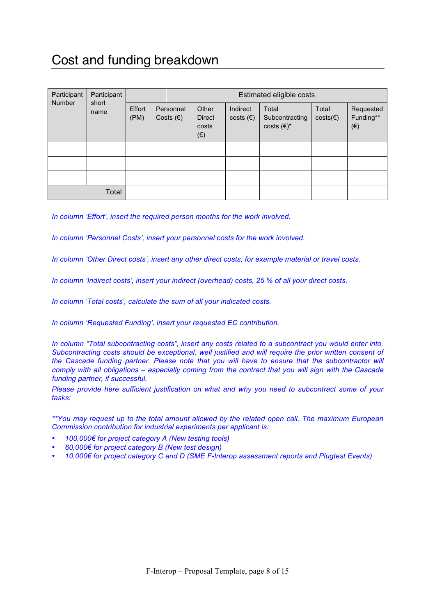# Cost and funding breakdown

| Participant<br><b>Number</b> | Participant   |                | Estimated eligible costs |                                 |                                                 |                               |                                                 |                            |                                        |
|------------------------------|---------------|----------------|--------------------------|---------------------------------|-------------------------------------------------|-------------------------------|-------------------------------------------------|----------------------------|----------------------------------------|
|                              | short<br>name | Effort<br>(PM) |                          | Personnel<br>Costs $(\epsilon)$ | Other<br><b>Direct</b><br>costs<br>$(\epsilon)$ | Indirect<br>$costs(\epsilon)$ | Total<br>Subcontracting<br>costs $(\epsilon)^*$ | Total<br>$costs(\epsilon)$ | Requested<br>Funding**<br>$(\epsilon)$ |
|                              |               |                |                          |                                 |                                                 |                               |                                                 |                            |                                        |
|                              |               |                |                          |                                 |                                                 |                               |                                                 |                            |                                        |
|                              |               |                |                          |                                 |                                                 |                               |                                                 |                            |                                        |
|                              | Total         |                |                          |                                 |                                                 |                               |                                                 |                            |                                        |

*In column 'Effort', insert the required person months for the work involved.*

*In column 'Personnel Costs', insert your personnel costs for the work involved.*

*In column 'Other Direct costs', insert any other direct costs, for example material or travel costs.*

*In column 'Indirect costs', insert your indirect (overhead) costs, 25 % of all your direct costs.*

*In column 'Total costs', calculate the sum of all your indicated costs.*

*In column 'Requested Funding', insert your requested EC contribution.*

*In column "Total subcontracting costs", insert any costs related to a subcontract you would enter into. Subcontracting costs should be exceptional, well justified and will require the prior written consent of the Cascade funding partner. Please note that you will have to ensure that the subcontractor will comply with all obligations – especially coming from the contract that you will sign with the Cascade funding partner, if successful.*

*Please provide here sufficient justification on what and why you need to subcontract some of your tasks:*

*\*\*You may request up to the total amount allowed by the related open call. The maximum European Commission contribution for industrial experiments per applicant is:*

- *100,000€ for project category A (New testing tools)*
- *60,000€ for project category B (New test design)*
- *10,000€ for project category C and D (SME F-Interop assessment reports and Plugtest Events)*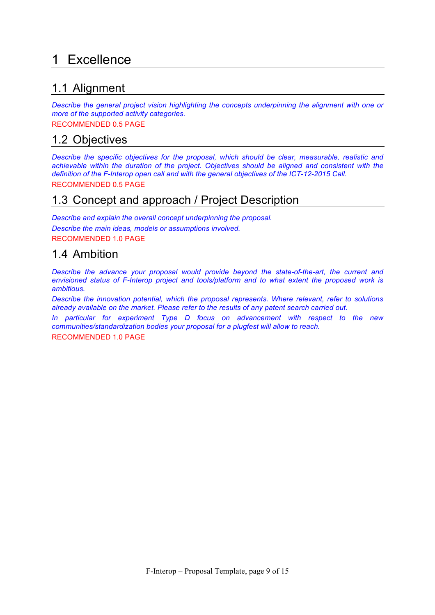## 1 Excellence

## 1.1 Alignment

*Describe the general project vision highlighting the concepts underpinning the alignment with one or more of the supported activity categories.*

RECOMMENDED 0.5 PAGE

## 1.2 Objectives

*Describe the specific objectives for the proposal, which should be clear, measurable, realistic and achievable within the duration of the project. Objectives should be aligned and consistent with the definition of the F-Interop open call and with the general objectives of the ICT-12-2015 Call.*

RECOMMENDED 0.5 PAGE

## 1.3 Concept and approach / Project Description

*Describe and explain the overall concept underpinning the proposal. Describe the main ideas, models or assumptions involved.*  RECOMMENDED 1.0 PAGE

## 1.4 Ambition

*Describe the advance your proposal would provide beyond the state-of-the-art, the current and envisioned status of F-Interop project and tools/platform and to what extent the proposed work is ambitious.*

*Describe the innovation potential, which the proposal represents. Where relevant, refer to solutions already available on the market. Please refer to the results of any patent search carried out.*

*In particular for experiment Type D focus on advancement with respect to the new communities/standardization bodies your proposal for a plugfest will allow to reach.* RECOMMENDED 1.0 PAGE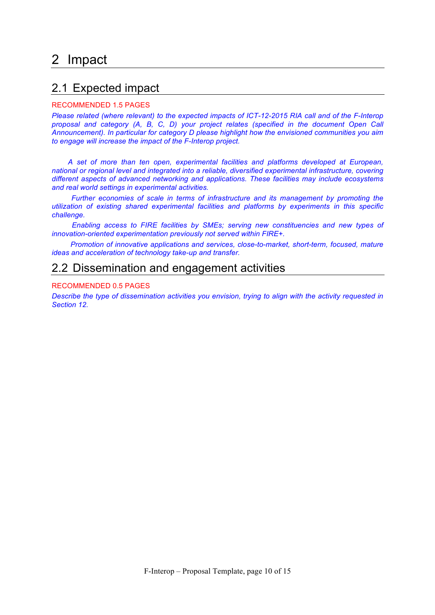## 2 Impact

### 2.1 Expected impact

#### RECOMMENDED 1.5 PAGES

*Please related (where relevant) to the expected impacts of ICT-12-2015 RIA call and of the F-Interop proposal and category (A, B, C, D) your project relates (specified in the document Open Call Announcement). In particular for category D please highlight how the envisioned communities you aim to engage will increase the impact of the F-Interop project.*

 *A set of more than ten open, experimental facilities and platforms developed at European, national or regional level and integrated into a reliable, diversified experimental infrastructure, covering different aspects of advanced networking and applications. These facilities may include ecosystems and real world settings in experimental activities.*

 *Further economies of scale in terms of infrastructure and its management by promoting the utilization of existing shared experimental facilities and platforms by experiments in this specific challenge.*

 *Enabling access to FIRE facilities by SMEs; serving new constituencies and new types of innovation-oriented experimentation previously not served within FIRE+.*

 *Promotion of innovative applications and services, close-to-market, short-term, focused, mature ideas and acceleration of technology take-up and transfer.*

## 2.2 Dissemination and engagement activities

#### RECOMMENDED 0.5 PAGES

*Describe the type of dissemination activities you envision, trying to align with the activity requested in Section 12.*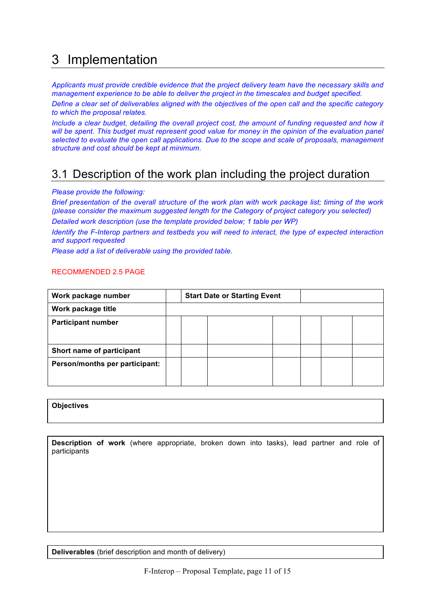# 3 Implementation

*Applicants must provide credible evidence that the project delivery team have the necessary skills and management experience to be able to deliver the project in the timescales and budget specified.*

*Define a clear set of deliverables aligned with the objectives of the open call and the specific category to which the proposal relates.* 

*Include a clear budget, detailing the overall project cost, the amount of funding requested and how it*  will be spent. This budget must represent good value for money in the opinion of the evaluation panel *selected to evaluate the open call applications. Due to the scope and scale of proposals, management structure and cost should be kept at minimum.* 

## 3.1 Description of the work plan including the project duration

#### *Please provide the following:*

*Brief presentation of the overall structure of the work plan with work package list; timing of the work (please consider the maximum suggested length for the Category of project category you selected) Detailed work description (use the template provided below; 1 table per WP)*

*Identify the F-Interop partners and testbeds you will need to interact, the type of expected interaction and support requested*

*Please add a list of deliverable using the provided table.*

#### RECOMMENDED 2.5 PAGE

| Work package number            | <b>Start Date or Starting Event</b> |  |  |  |  |
|--------------------------------|-------------------------------------|--|--|--|--|
| Work package title             |                                     |  |  |  |  |
| <b>Participant number</b>      |                                     |  |  |  |  |
|                                |                                     |  |  |  |  |
| Short name of participant      |                                     |  |  |  |  |
| Person/months per participant: |                                     |  |  |  |  |
|                                |                                     |  |  |  |  |

#### **Objectives**

**Description of work** (where appropriate, broken down into tasks), lead partner and role of participants

**Deliverables** (brief description and month of delivery)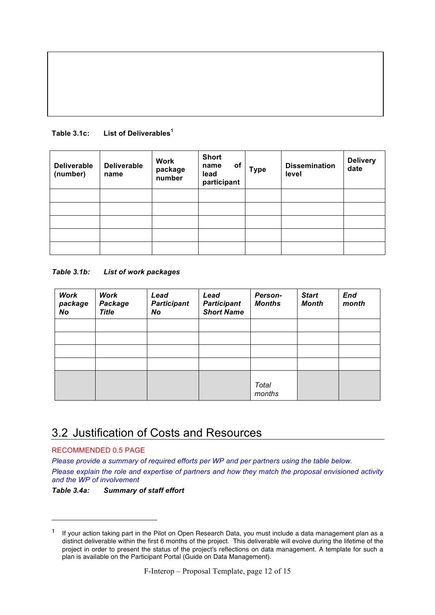#### **Table 3.1c: List of Deliverables<sup>1</sup>**

| <b>Deliverable</b><br>(number) | <b>Deliverable</b><br>name | <b>Work</b><br>package<br>number | <b>Short</b><br>οf<br>name<br>lead<br>participant | Type | <b>Dissemination</b><br>level | <b>Delivery</b><br>date |
|--------------------------------|----------------------------|----------------------------------|---------------------------------------------------|------|-------------------------------|-------------------------|
|                                |                            |                                  |                                                   |      |                               |                         |
|                                |                            |                                  |                                                   |      |                               |                         |
|                                |                            |                                  |                                                   |      |                               |                         |
|                                |                            |                                  |                                                   |      |                               |                         |
|                                |                            |                                  |                                                   |      |                               |                         |

*Table 3.1b: List of work packages*

| Work<br>package<br>No | Work<br>Package<br><b>Title</b> | Lead<br><b>Participant</b><br>No | Lead<br><b>Participant</b><br><b>Short Name</b> | Person-<br><b>Months</b> | <b>Start</b><br>Month | <b>End</b><br>month |
|-----------------------|---------------------------------|----------------------------------|-------------------------------------------------|--------------------------|-----------------------|---------------------|
|                       |                                 |                                  |                                                 |                          |                       |                     |
|                       |                                 |                                  |                                                 |                          |                       |                     |
|                       |                                 |                                  |                                                 |                          |                       |                     |
|                       |                                 |                                  |                                                 | Total<br>months          |                       |                     |

## 3.2 Justification of Costs and Resources

#### RECOMMENDED 0.5 PAGE

-

*Please provide a summary of required efforts per WP and per partners using the table below. Please explain the role and expertise of partners and how they match the proposal envisioned activity and the WP of involvement*

#### *Table 3.4a: Summary of staff effort*

 $1$  If your action taking part in the Pilot on Open Research Data, you must include a data management plan as a distinct deliverable within the first 6 months of the project. This deliverable will evolve during the lifetime of the project in order to present the status of the project's reflections on data management. A template for such a plan is available on the Participant Portal (Guide on Data Management).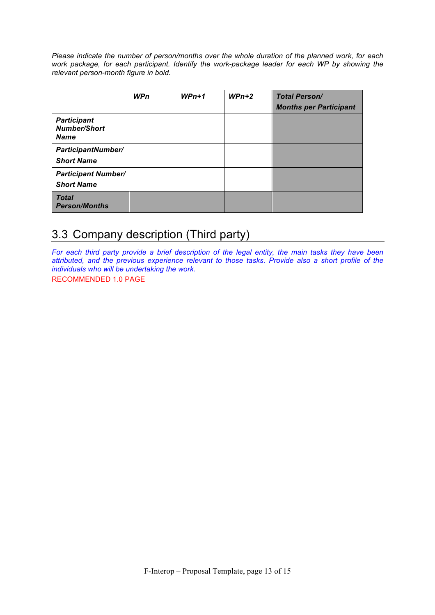*Please indicate the number of person/months over the whole duration of the planned work, for each work package, for each participant. Identify the work-package leader for each WP by showing the relevant person-month figure in bold.*

|                                                          | <b>WPn</b> | $WPn+1$ | $WPn+2$ | <b>Total Person/</b><br><b>Months per Participant</b> |
|----------------------------------------------------------|------------|---------|---------|-------------------------------------------------------|
| <b>Participant</b><br><b>Number/Short</b><br><b>Name</b> |            |         |         |                                                       |
| ParticipantNumber/<br><b>Short Name</b>                  |            |         |         |                                                       |
| <b>Participant Number/</b><br><b>Short Name</b>          |            |         |         |                                                       |
| <b>Total</b><br><b>Person/Months</b>                     |            |         |         |                                                       |

## 3.3 Company description (Third party)

*For each third party provide a brief description of the legal entity, the main tasks they have been attributed, and the previous experience relevant to those tasks. Provide also a short profile of the individuals who will be undertaking the work.*

RECOMMENDED 1.0 PAGE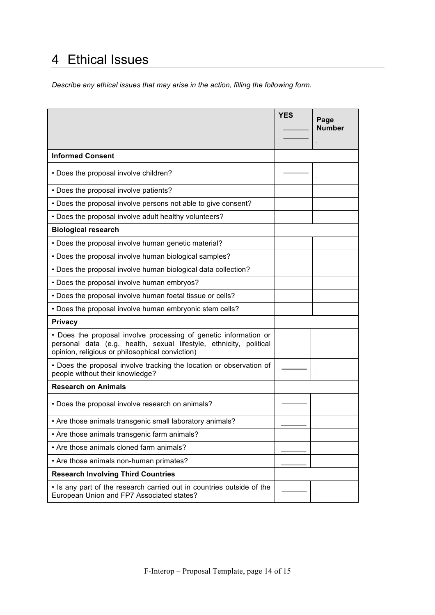# 4 Ethical Issues

*Describe any ethical issues that may arise in the action, filling the following form.* 

|                                                                                                                                                                                           | <b>YES</b> | Page<br><b>Number</b> |
|-------------------------------------------------------------------------------------------------------------------------------------------------------------------------------------------|------------|-----------------------|
| <b>Informed Consent</b>                                                                                                                                                                   |            |                       |
| • Does the proposal involve children?                                                                                                                                                     |            |                       |
| • Does the proposal involve patients?                                                                                                                                                     |            |                       |
| . Does the proposal involve persons not able to give consent?                                                                                                                             |            |                       |
| • Does the proposal involve adult healthy volunteers?                                                                                                                                     |            |                       |
| <b>Biological research</b>                                                                                                                                                                |            |                       |
| • Does the proposal involve human genetic material?                                                                                                                                       |            |                       |
| • Does the proposal involve human biological samples?                                                                                                                                     |            |                       |
| • Does the proposal involve human biological data collection?                                                                                                                             |            |                       |
| • Does the proposal involve human embryos?                                                                                                                                                |            |                       |
| • Does the proposal involve human foetal tissue or cells?                                                                                                                                 |            |                       |
| . Does the proposal involve human embryonic stem cells?                                                                                                                                   |            |                       |
| <b>Privacy</b>                                                                                                                                                                            |            |                       |
| • Does the proposal involve processing of genetic information or<br>personal data (e.g. health, sexual lifestyle, ethnicity, political<br>opinion, religious or philosophical conviction) |            |                       |
| • Does the proposal involve tracking the location or observation of<br>people without their knowledge?                                                                                    |            |                       |
| <b>Research on Animals</b>                                                                                                                                                                |            |                       |
| • Does the proposal involve research on animals?                                                                                                                                          |            |                       |
| • Are those animals transgenic small laboratory animals?                                                                                                                                  |            |                       |
| • Are those animals transgenic farm animals?                                                                                                                                              |            |                       |
| • Are those animals cloned farm animals?                                                                                                                                                  |            |                       |
| • Are those animals non-human primates?                                                                                                                                                   |            |                       |
| <b>Research Involving Third Countries</b>                                                                                                                                                 |            |                       |
| . Is any part of the research carried out in countries outside of the<br>European Union and FP7 Associated states?                                                                        |            |                       |